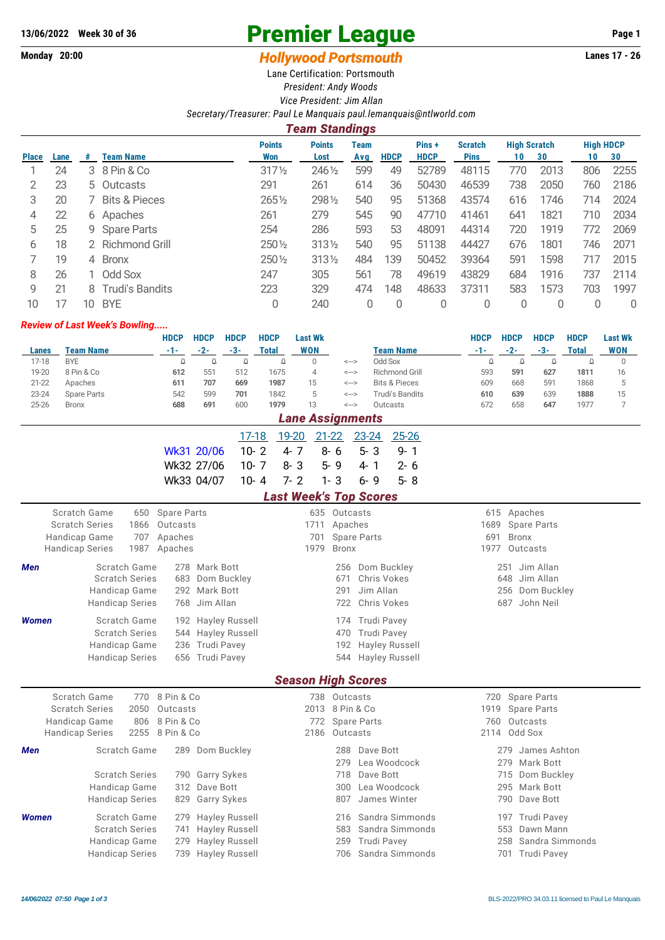## 13/06/2022 Week 30 of 36 **Premier League** Page 1

## **Monday 20:00** *Hollywood Portsmouth* **Lanes 17 - 26**

Lane Certification: Portsmouth *President: Andy Woods Vice President: Jim Allan*

## *Secretary/Treasurer: Paul Le Manquais [paul.lemanquais@ntlworld.com](mailto:paul.lemanquais@ntlworld.com)*

|              | <b>Team Standings</b> |    |                          |                      |                       |             |             |                      |                               |                                 |      |                        |      |  |
|--------------|-----------------------|----|--------------------------|----------------------|-----------------------|-------------|-------------|----------------------|-------------------------------|---------------------------------|------|------------------------|------|--|
| <b>Place</b> | Lane                  | #  | <b>Team Name</b>         | <b>Points</b><br>Won | <b>Points</b><br>Lost | Team<br>Avg | <b>HDCP</b> | Pins+<br><b>HDCP</b> | <b>Scratch</b><br><b>Pins</b> | <b>High Scratch</b><br>30<br>10 |      | <b>High HDCP</b><br>10 | 30   |  |
|              | 24                    |    | 3 8 Pin & Co             | $317\frac{1}{2}$     | 2461/2                | 599         | 49          | 52789                | 48115                         | 770                             | 2013 | 806                    | 2255 |  |
|              | 23                    |    | 5 Outcasts               | 291                  | 261                   | 614         | 36          | 50430                | 46539                         | 738                             | 2050 | 760                    | 2186 |  |
| 3            | 20                    |    | <b>Bits &amp; Pieces</b> | 2651/2               | 2981/2                | 540         | 95          | 51368                | 43574                         | 616                             | 1746 | 714                    | 2024 |  |
| 4            | 22                    |    | 6 Apaches                | 261                  | 279                   | 545         | 90          | 47710                | 41461                         | 641                             | 1821 | 710                    | 2034 |  |
| 5            | 25                    |    | 9 Spare Parts            | 254                  | 286                   | 593         | 53          | 48091                | 44314                         | 720                             | 1919 | 772                    | 2069 |  |
| 6            | 18                    |    | 2 Richmond Grill         | 250 1/2              | 3131/2                | 540         | 95          | 51138                | 44427                         | 676                             | 1801 | 746                    | 2071 |  |
|              | 19                    | 4  | <b>Bronx</b>             | 250 1/2              | 3131/2                | 484         | 139         | 50452                | 39364                         | 591                             | 1598 |                        | 2015 |  |
| 8            | 26                    |    | 1 Odd Sox                | 247                  | 305                   | 561         | 78          | 49619                | 43829                         | 684                             | 1916 | 737                    | 2114 |  |
| 9            | 21                    | 8  | Trudi's Bandits          | 223                  | 329                   | 474         | 148         | 48633                | 37311                         | 583                             | 1573 | 703                    | 1997 |  |
| 10           |                       | 10 | <b>BYE</b>               | 0                    | 240                   | 0           | $\Omega$    | 0                    | 0                             | 0                               |      |                        | 0    |  |

## *Review of Last Week's Bowling.....*

|                        |                                       |                        |      | <b>HDCP</b>                | <b>HDCP</b>        | <b>HDCP</b>           | <b>HDCP</b>                   |                              | <b>Last Wk</b>            |                                                            |         |           |                                    | <b>HDCP</b> | <b>HDCP</b>   | <b>HDCP</b>                              | <b>HDCP</b>     | <b>Last Wk</b>       |
|------------------------|---------------------------------------|------------------------|------|----------------------------|--------------------|-----------------------|-------------------------------|------------------------------|---------------------------|------------------------------------------------------------|---------|-----------|------------------------------------|-------------|---------------|------------------------------------------|-----------------|----------------------|
| Lanes                  | <b>Team Name</b>                      |                        |      | $-1-$                      | $-2-$              | $-3-$                 | <b>Total</b>                  |                              | <b>WON</b>                |                                                            |         |           | <b>Team Name</b>                   | $-1-$       | $-2-$         | $-3-$                                    | <b>Total</b>    | <b>WON</b>           |
| $17 - 18$              | <b>BYE</b>                            |                        |      | $\Omega$                   | $\Omega$           | $\Omega$              | $\Omega$                      |                              | $\Omega$                  | $\left\langle \rightarrow\right\rangle$                    |         |           | Odd Sox                            | $\Omega$    | $\Omega$      | $\Omega$                                 | $\Omega$        | $\mathbf 0$          |
| 19-20                  | 8 Pin & Co                            |                        |      | 612                        | 551                | 512                   | 1675                          |                              | $\overline{4}$            | $\it{<-}$                                                  |         |           | Richmond Grill                     | 593         | 591           | 627                                      | 1811            | 16                   |
| $21 - 22$              | Apaches                               |                        |      | 611                        | 707                | 669                   | 1987                          |                              | 15<br>5                   | $\it{<-}$                                                  |         |           | <b>Bits &amp; Pieces</b>           | 609         | 668           | 591                                      | 1868            | 5                    |
| $23 - 24$<br>$25 - 26$ | <b>Spare Parts</b><br><b>Bronx</b>    |                        |      | 542<br>688                 | 599<br>691         | 701<br>600            | 1842<br>1979                  |                              | 13                        | $\text{<}\text{--}\text{>}$<br>$\text{<}\text{--}\text{>}$ |         |           | <b>Trudi's Bandits</b><br>Outcasts | 610<br>672  | 639<br>658    | 639<br>647                               | 1888<br>1977    | 15<br>$\overline{7}$ |
|                        |                                       |                        |      |                            |                    |                       |                               |                              | <b>Lane Assignments</b>   |                                                            |         |           |                                    |             |               |                                          |                 |                      |
|                        |                                       |                        |      |                            |                    |                       |                               |                              |                           |                                                            |         |           |                                    |             |               |                                          |                 |                      |
|                        |                                       |                        |      |                            |                    | $17 - 18$             |                               | 19-20                        | $21 - 22$                 |                                                            | 23-24   |           | $25 - 26$                          |             |               |                                          |                 |                      |
|                        |                                       |                        |      | Wk31 20/06                 |                    | $10 - 2$              |                               | $4 - 7$                      | $8 - 6$                   |                                                            | $5 - 3$ |           | $9 - 1$                            |             |               |                                          |                 |                      |
|                        |                                       |                        |      | Wk32 27/06                 |                    | $10 - 7$              |                               | $8 - 3$                      |                           | $5 - 9$                                                    | $4 - 1$ |           | $2 - 6$                            |             |               |                                          |                 |                      |
|                        |                                       |                        |      | Wk33 04/07                 |                    | $10 - 4$              |                               | $7 - 2$                      | $1 - 3$                   |                                                            | $6 - 9$ |           | $5 - 8$                            |             |               |                                          |                 |                      |
|                        |                                       |                        |      |                            |                    |                       | <b>Last Week's Top Scores</b> |                              |                           |                                                            |         |           |                                    |             |               |                                          |                 |                      |
|                        | <b>Scratch Game</b>                   |                        | 650  | <b>Spare Parts</b>         |                    |                       |                               |                              |                           | 635 Outcasts                                               |         |           |                                    |             | 615 Apaches   |                                          |                 |                      |
|                        | <b>Scratch Series</b>                 |                        | 1866 | Outcasts                   |                    |                       |                               |                              | 1711                      | Apaches                                                    |         |           |                                    | 1689        |               | <b>Spare Parts</b>                       |                 |                      |
|                        | Handicap Game<br>707                  |                        |      |                            | Apaches            |                       |                               |                              | 701                       | <b>Spare Parts</b>                                         |         |           |                                    | 691         | <b>Bronx</b>  |                                          |                 |                      |
|                        | <b>Handicap Series</b>                |                        | 1987 | Apaches                    |                    |                       |                               |                              | 1979                      | <b>Bronx</b>                                               |         |           |                                    | 1977        | Outcasts      |                                          |                 |                      |
| Men                    |                                       | Scratch Game           |      |                            | 278 Mark Bott      |                       |                               |                              |                           | 256                                                        |         |           | Dom Buckley                        |             | 251 Jim Allan |                                          |                 |                      |
|                        |                                       | <b>Scratch Series</b>  |      | 683                        |                    | Dom Buckley           |                               |                              |                           | 671                                                        |         |           | Chris Vokes                        |             | 648           | Jim Allan                                |                 |                      |
|                        |                                       | Handicap Game          |      |                            | 292 Mark Bott      |                       |                               |                              |                           | 291                                                        |         | Jim Allan |                                    |             | 256           | Dom Buckley                              |                 |                      |
|                        |                                       | <b>Handicap Series</b> |      |                            | 768 Jim Allan      |                       |                               |                              |                           | 722                                                        |         |           | Chris Vokes                        |             | 687 John Neil |                                          |                 |                      |
| <b>Women</b>           |                                       | Scratch Game           |      |                            |                    | 192 Hayley Russell    |                               |                              |                           | 174                                                        |         |           | <b>Trudi Pavey</b>                 |             |               |                                          |                 |                      |
|                        |                                       | <b>Scratch Series</b>  |      |                            |                    | 544 Hayley Russell    |                               |                              |                           | 470                                                        |         |           | Trudi Pavey                        |             |               |                                          |                 |                      |
|                        |                                       | Handicap Game          |      |                            | 236 Trudi Pavey    |                       |                               |                              |                           | 192                                                        |         |           | Hayley Russell                     |             |               |                                          |                 |                      |
|                        | <b>Handicap Series</b>                |                        |      |                            | 656 Trudi Pavey    |                       |                               | <b>Hayley Russell</b><br>544 |                           |                                                            |         |           |                                    |             |               |                                          |                 |                      |
|                        |                                       |                        |      |                            |                    |                       |                               |                              |                           |                                                            |         |           |                                    |             |               |                                          |                 |                      |
|                        |                                       |                        |      |                            |                    |                       |                               |                              | <b>Season High Scores</b> |                                                            |         |           |                                    |             |               |                                          |                 |                      |
|                        | Scratch Game<br><b>Scratch Series</b> |                        | 2050 | 770 8 Pin & Co<br>Outcasts |                    |                       |                               |                              | 2013 8 Pin & Co           | 738 Outcasts                                               |         |           |                                    | 720<br>1919 |               | <b>Spare Parts</b><br><b>Spare Parts</b> |                 |                      |
|                        | Handicap Game                         |                        | 806  | 8 Pin & Co                 |                    |                       |                               |                              | 772                       | <b>Spare Parts</b>                                         |         |           |                                    | 760         | Outcasts      |                                          |                 |                      |
|                        | <b>Handicap Series</b>                |                        | 2255 | 8 Pin & Co                 |                    |                       |                               |                              | 2186                      | Outcasts                                                   |         |           |                                    |             | 2114 Odd Sox  |                                          |                 |                      |
| Men                    |                                       | Scratch Game           |      |                            |                    | 289 Dom Buckley       |                               |                              |                           | 288                                                        |         | Dave Bott |                                    |             | 279           | James Ashton                             |                 |                      |
|                        |                                       |                        |      |                            |                    |                       |                               |                              |                           | 279                                                        |         |           | Lea Woodcock                       |             | 279           | Mark Bott                                |                 |                      |
|                        |                                       | <b>Scratch Series</b>  |      |                            | 790 Garry Sykes    |                       |                               |                              |                           | 718                                                        |         | Dave Bott |                                    |             | 715           | Dom Buckley                              |                 |                      |
|                        |                                       | Handicap Game          |      | 312                        | Dave Bott          |                       |                               |                              |                           | 300                                                        |         |           | Lea Woodcock                       |             | 295           | Mark Bott                                |                 |                      |
|                        |                                       | <b>Handicap Series</b> |      | 829                        | <b>Garry Sykes</b> |                       |                               |                              |                           | 807                                                        |         |           | James Winter                       |             | 790           | Dave Bott                                |                 |                      |
|                        |                                       |                        |      |                            |                    |                       |                               |                              |                           |                                                            |         |           |                                    |             |               |                                          |                 |                      |
| <b>Women</b>           |                                       | Scratch Game           |      | 279                        |                    | Hayley Russell        |                               |                              |                           | 216                                                        |         |           | Sandra Simmonds                    |             |               | 197 Trudi Pavey                          |                 |                      |
|                        |                                       | <b>Scratch Series</b>  |      | 741                        |                    | <b>Hayley Russell</b> |                               |                              |                           | 583                                                        |         |           | Sandra Simmonds                    |             | 553           | Dawn Mann                                |                 |                      |
|                        |                                       | Handicap Game          |      | 279                        |                    | Hayley Russell        |                               |                              |                           | 259                                                        |         |           | <b>Trudi Pavey</b>                 |             | 258           |                                          | Sandra Simmonds |                      |
|                        |                                       | <b>Handicap Series</b> |      |                            |                    | 739 Hayley Russell    |                               |                              |                           | 706                                                        |         |           | Sandra Simmonds                    |             |               | 701 Trudi Pavey                          |                 |                      |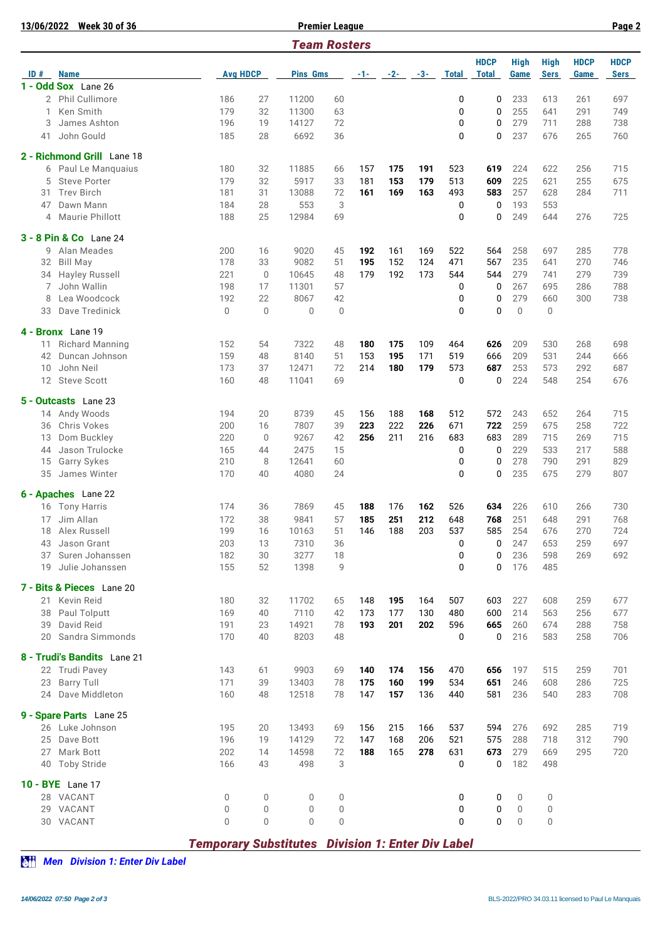| 13/06/2022 | <b>Week 30 of 36</b>                                                          |                                                          |                 |                 | <b>Premier League</b> |       |       |       |              |                             |                            |                            |                     | Page 2              |
|------------|-------------------------------------------------------------------------------|----------------------------------------------------------|-----------------|-----------------|-----------------------|-------|-------|-------|--------------|-----------------------------|----------------------------|----------------------------|---------------------|---------------------|
|            |                                                                               |                                                          |                 |                 | <b>Team Rosters</b>   |       |       |       |              |                             |                            |                            |                     |                     |
| ID#        | <b>Name</b><br>1 - Odd Sox Lane 26<br>Ken Smith<br>2 - Richmond Grill Lane 18 |                                                          | <b>Avg HDCP</b> |                 |                       | $-1-$ | $-2-$ | $-3-$ | <b>Total</b> | <b>HDCP</b><br><b>Total</b> | <b>High</b><br><b>Game</b> | <b>High</b><br><b>Sers</b> | <b>HDCP</b><br>Game | <b>HDCP</b><br>Sers |
|            |                                                                               |                                                          |                 | <b>Pins Gms</b> |                       |       |       |       |              |                             |                            |                            |                     |                     |
|            | 2 Phil Cullimore                                                              | 186                                                      | 27              | 11200           | 60                    |       |       |       | 0            | 0                           | 233                        | 613                        | 261                 | 697                 |
| 1          |                                                                               | 179                                                      | 32              | 11300           | 63                    |       |       |       | 0            | 0                           | 255                        | 641                        | 291                 | 749                 |
| 3          | James Ashton                                                                  | 196                                                      | 19              | 14127           | 72                    |       |       |       | 0            | 0                           | 279                        | 711                        | 288                 | 738                 |
| 41         | John Gould                                                                    | 185                                                      | 28              | 6692            | 36                    |       |       |       | 0            | 0                           | 237                        | 676                        | 265                 | 760                 |
|            |                                                                               |                                                          |                 |                 |                       |       |       |       |              |                             |                            |                            |                     |                     |
|            |                                                                               |                                                          |                 |                 |                       |       |       |       |              |                             |                            |                            |                     |                     |
| 6          | Paul Le Manquaius                                                             | 180                                                      | 32              | 11885           | 66                    | 157   | 175   | 191   | 523          | 619                         | 224                        | 622                        | 256                 | 715                 |
| 5          | <b>Steve Porter</b>                                                           | 179                                                      | 32              | 5917            | 33                    | 181   | 153   | 179   | 513          | 609                         | 225                        | 621                        | 255                 | 675                 |
| 31         | <b>Trev Birch</b>                                                             | 181                                                      | 31              | 13088           | 72                    | 161   | 169   | 163   | 493          | 583                         | 257                        | 628                        | 284                 | 711                 |
| 47         | Dawn Mann                                                                     | 184                                                      | 28              | 553             | 3                     |       |       |       | 0            | 0                           | 193                        | 553                        |                     |                     |
| 4          | Maurie Phillott                                                               | 188                                                      | 25              | 12984           | 69                    |       |       |       | 0            | 0                           | 249                        | 644                        | 276                 | 725                 |
|            | <b>3 - 8 Pin &amp; Co</b> Lane 24                                             |                                                          |                 |                 |                       |       |       |       |              |                             |                            |                            |                     |                     |
| 9          | Alan Meades                                                                   | 200                                                      | 16              | 9020            | 45                    | 192   | 161   | 169   | 522          | 564                         | 258                        | 697                        | 285                 | 778                 |
| 32         | <b>Bill May</b>                                                               | 178                                                      | 33              | 9082            | 51                    | 195   | 152   | 124   | 471          | 567                         | 235                        | 641                        | 270                 | 746                 |
| 34         | <b>Hayley Russell</b>                                                         | 221                                                      | $\mathbf{0}$    | 10645           | 48                    | 179   | 192   | 173   | 544          | 544                         | 279                        | 741                        | 279                 | 739                 |
| 7          | John Wallin                                                                   | 198                                                      | 17              | 11301           | 57                    |       |       |       | 0            | 0                           | 267                        | 695                        | 286                 | 788                 |
| 8          | Lea Woodcock                                                                  | 192                                                      | 22              | 8067            | 42                    |       |       |       | 0            | 0                           | 279                        | 660                        | 300                 | 738                 |
| 33         | Dave Tredinick                                                                | $\mathbf 0$                                              | $\overline{0}$  | $\overline{0}$  | 0                     |       |       |       | 0            | 0                           | 0                          | 0                          |                     |                     |
|            |                                                                               |                                                          |                 |                 |                       |       |       |       |              |                             |                            |                            |                     |                     |
|            | 4 - Bronx Lane 19                                                             |                                                          |                 |                 |                       |       |       |       |              |                             |                            |                            |                     |                     |
| 11         | <b>Richard Manning</b>                                                        | 152                                                      | 54              | 7322            | 48                    | 180   | 175   | 109   | 464          | 626                         | 209                        | 530                        | 268                 | 698                 |
| 42         | Duncan Johnson                                                                | 159                                                      | 48              | 8140            | 51                    | 153   | 195   | 171   | 519          | 666                         | 209                        | 531                        | 244                 | 666                 |
| 10         | John Neil                                                                     | 173                                                      | 37              | 12471           | 72                    | 214   | 180   | 179   | 573          | 687                         | 253                        | 573                        | 292                 | 687                 |
|            | 12 Steve Scott                                                                | 160                                                      | 48              | 11041           | 69                    |       |       |       | 0            | 0                           | 224                        | 548                        | 254                 | 676                 |
|            | 5 - Outcasts Lane 23                                                          |                                                          |                 |                 |                       |       |       |       |              |                             |                            |                            |                     |                     |
|            | 14 Andy Woods                                                                 | 194                                                      | 20              | 8739            | 45                    | 156   | 188   | 168   | 512          | 572                         | 243                        | 652                        | 264                 | 715                 |
| 36         | Chris Vokes                                                                   | 200                                                      | 16              | 7807            | 39                    | 223   | 222   | 226   | 671          | 722                         | 259                        | 675                        | 258                 | 722                 |
| 13         | Dom Buckley                                                                   | 220                                                      | $\mathbf{0}$    | 9267            | 42                    | 256   | 211   | 216   | 683          | 683                         | 289                        | 715                        | 269                 | 715                 |
| 44         | Jason Trulocke                                                                | 165                                                      | 44              | 2475            | 15                    |       |       |       | 0            | 0                           | 229                        | 533                        | 217                 | 588                 |
| 15         | Garry Sykes                                                                   | 210                                                      | 8               | 12641           | 60                    |       |       |       | 0            | 0                           | 278                        | 790                        | 291                 | 829                 |
| 35         | James Winter                                                                  | 170                                                      | 40              | 4080            | 24                    |       |       |       | 0            | 0                           | 235                        | 675                        | 279                 | 807                 |
|            |                                                                               |                                                          |                 |                 |                       |       |       |       |              |                             |                            |                            |                     |                     |
|            | 6 - Apaches Lane 22                                                           |                                                          |                 |                 |                       |       |       |       |              |                             |                            |                            |                     |                     |
|            | 16 Tony Harris                                                                | 174                                                      | 36              | 7869            | 45                    | 188   | 176   | 162   | 526          | 634                         | 226                        | 610                        | 266                 | 730                 |
| 17         | Jim Allan                                                                     | 172                                                      | 38              | 9841            | 57                    | 185   | 251   | 212   | 648          | 768                         | 251                        | 648                        | 291                 | 768                 |
| 18         | Alex Russell                                                                  | 199                                                      | 16              | 10163           | 51                    | 146   | 188   | 203   | 537          | 585                         | 254                        | 676                        | 270                 | 724                 |
| 43         | Jason Grant                                                                   | 203                                                      | 13              | 7310            | 36                    |       |       |       | 0            | 0                           | 247                        | 653                        | 259                 | 697                 |
| 37         | Suren Johanssen                                                               | 182                                                      | 30              | 3277            | 18                    |       |       |       | 0            | 0                           | 236                        | 598                        | 269                 | 692                 |
| 19         | Julie Johanssen                                                               | 155                                                      | 52              | 1398            | 9                     |       |       |       | <sup>0</sup> | 0                           | 176                        | 485                        |                     |                     |
|            | 7 - Bits & Pieces Lane 20                                                     |                                                          |                 |                 |                       |       |       |       |              |                             |                            |                            |                     |                     |
|            | 21 Kevin Reid                                                                 | 180                                                      | 32              | 11702           | 65                    | 148   | 195   | 164   | 507          | 603                         | 227                        | 608                        | 259                 | 677                 |
| 38         | Paul Tolputt                                                                  | 169                                                      | 40              | 7110            | 42                    | 173   | 177   | 130   | 480          | 600                         | 214                        | 563                        | 256                 | 677                 |
| 39         | David Reid                                                                    | 191                                                      | 23              | 14921           | 78                    | 193   | 201   | 202   | 596          | 665                         | 260                        | 674                        | 288                 | 758                 |
|            | 20 Sandra Simmonds                                                            | 170                                                      | 40              | 8203            | 48                    |       |       |       | 0            | 0                           | 216                        | 583                        | 258                 | 706                 |
|            | 8 - Trudi's Bandits Lane 21                                                   |                                                          |                 |                 |                       |       |       |       |              |                             |                            |                            |                     |                     |
|            | 22 Trudi Pavey                                                                | 143                                                      | 61              | 9903            | 69                    | 140   | 174   | 156   | 470          | 656                         | 197                        | 515                        | 259                 | 701                 |
|            | <b>Barry Tull</b>                                                             | 171                                                      | 39              | 13403           | 78                    | 175   | 160   | 199   | 534          | 651                         | 246                        | 608                        | 286                 | 725                 |
| 23         | 24 Dave Middleton                                                             | 160                                                      | 48              | 12518           | 78                    | 147   | 157   | 136   | 440          | 581                         | 236                        | 540                        | 283                 | 708                 |
|            |                                                                               |                                                          |                 |                 |                       |       |       |       |              |                             |                            |                            |                     |                     |
|            | 9 - Spare Parts Lane 25                                                       |                                                          |                 |                 |                       |       |       |       |              |                             |                            |                            |                     |                     |
|            | 26 Luke Johnson                                                               | 195                                                      | 20              | 13493           | 69                    | 156   | 215   | 166   | 537          | 594                         | 276                        | 692                        | 285                 | 719                 |
| 25         | Dave Bott                                                                     | 196                                                      | 19              | 14129           | 72                    | 147   | 168   | 206   | 521          | 575                         | 288                        | 718                        | 312                 | 790                 |
| 27         | Mark Bott                                                                     | 202                                                      | 14              | 14598           | 72                    | 188   | 165   | 278   | 631          | 673                         | 279                        | 669                        | 295                 | 720                 |
|            | 40 Toby Stride                                                                | 166                                                      | 43              | 498             | 3                     |       |       |       | 0            | 0                           | 182                        | 498                        |                     |                     |
|            | 10 - BYE Lane 17                                                              |                                                          |                 |                 |                       |       |       |       |              |                             |                            |                            |                     |                     |
|            | 28 VACANT                                                                     | 0                                                        | 0               | 0               | 0                     |       |       |       | 0            | 0                           | 0                          | 0                          |                     |                     |
|            | 29 VACANT                                                                     | $\Omega$                                                 | $\overline{0}$  | 0               | 0                     |       |       |       | 0            | 0                           | 0                          | 0                          |                     |                     |
|            | 30 VACANT                                                                     | $\Omega$                                                 | $\Omega$        | 0               | 0                     |       |       |       | <sup>0</sup> | $\Omega$                    | $\Omega$                   | 0                          |                     |                     |
|            |                                                                               |                                                          |                 |                 |                       |       |       |       |              |                             |                            |                            |                     |                     |
|            |                                                                               | <b>Temporary Substitutes Division 1: Enter Div Label</b> |                 |                 |                       |       |       |       |              |                             |                            |                            |                     |                     |

 $\sum_{i=1}^{n}$  *Men Division 1: Enter Div Label*